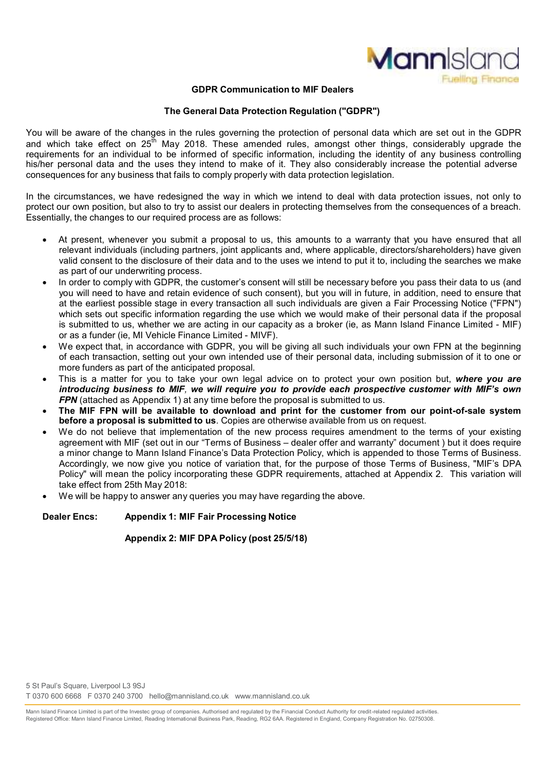

#### **GDPR Communication to MIF Dealers**

#### **The General Data Protection Regulation ("GDPR")**

You will be aware of the changes in the rules governing the protection of personal data which are set out in the GDPR and which take effect on 25<sup>th</sup> May 2018. These amended rules, amongst other things, considerably upgrade the requirements for an individual to be informed of specific information, including the identity of any business controlling his/her personal data and the uses they intend to make of it. They also considerably increase the potential adverse consequences for any business that fails to comply properly with data protection legislation.

In the circumstances, we have redesigned the way in which we intend to deal with data protection issues, not only to protect our own position, but also to try to assist our dealers in protecting themselves from the consequences of a breach. Essentially, the changes to our required process are as follows:

- At present, whenever you submit a proposal to us, this amounts to a warranty that you have ensured that all relevant individuals (including partners, joint applicants and, where applicable, directors/shareholders) have given valid consent to the disclosure of their data and to the uses we intend to put it to, including the searches we make as part of our underwriting process.
- In order to comply with GDPR, the customer's consent will still be necessary before you pass their data to us (and you will need to have and retain evidence of such consent), but you will in future, in addition, need to ensure that at the earliest possible stage in every transaction all such individuals are given a Fair Processing Notice ("FPN") which sets out specific information regarding the use which we would make of their personal data if the proposal is submitted to us, whether we are acting in our capacity as a broker (ie, as Mann Island Finance Limited - MIF) or as a funder (ie, MI Vehicle Finance Limited - MIVF).
- We expect that, in accordance with GDPR, you will be giving all such individuals your own FPN at the beginning of each transaction, setting out your own intended use of their personal data, including submission of it to one or more funders as part of the anticipated proposal.
- This is a matter for you to take your own legal advice on to protect your own position but, *where you are introducing business to MIF, we will require you to provide each prospective customer with MIF's own FPN* (attached as Appendix 1) at any time before the proposal is submitted to us.
- **The MIF FPN will be available to download and print for the customer from our point-of-sale system before a proposal is submitted to us**. Copies are otherwise available from us on request.
- We do not believe that implementation of the new process requires amendment to the terms of your existing agreement with MIF (set out in our "Terms of Business – dealer offer and warranty" document ) but it does require a minor change to Mann Island Finance's Data Protection Policy, which is appended to those Terms of Business. Accordingly, we now give you notice of variation that, for the purpose of those Terms of Business, "MIF's DPA Policy" will mean the policy incorporating these GDPR requirements, attached at Appendix 2. This variation will take effect from 25th May 2018:
- We will be happy to answer any queries you may have regarding the above.

## **Dealer Encs: Appendix 1: MIF Fair Processing Notice**

## **Appendix 2: MIF DPA Policy (post 25/5/18)**

Mann Island Finance Limited is part of the Investec group of companies. Authorised and regulated by the Financial Conduct Authority for credit-related regulated activities. Registered Office: Mann Island Finance Limited, Reading International Business Park, Reading, RG2 6AA. Registered in England, Company Registration No. 02750308.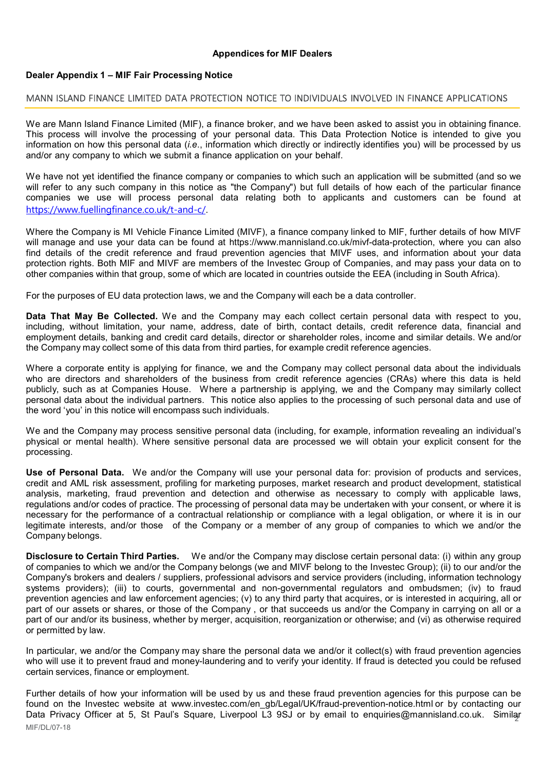## **Appendices for MIF Dealers**

## **Dealer Appendix 1 – MIF Fair Processing Notice**

### MANN ISLAND FINANCE LIMITED DATA PROTECTION NOTICE TO INDIVIDUALS INVOLVED IN FINANCE APPLICATIONS

We are Mann Island Finance Limited (MIF), a finance broker, and we have been asked to assist you in obtaining finance. This process will involve the processing of your personal data. This Data Protection Notice is intended to give you information on how this personal data (*i.e*., information which directly or indirectly identifies you) will be processed by us and/or any company to which we submit a finance application on your behalf.

We have not yet identified the finance company or companies to which such an application will be submitted (and so we will refer to any such company in this notice as "the Company") but full details of how each of the particular finance companies we use will process personal data relating both to applicants and customers can be found at https://www.fuellingfinance.co.uk/t-and-c/.

Where the Company is MI Vehicle Finance Limited (MIVF), a finance company linked to MIF, further details of how MIVF will manage and use your data can be found at https://www.mannisland.co.uk/mivf-data-protection, where you can also find details of the credit reference and fraud prevention agencies that MIVF uses, and information about your data protection rights. Both MIF and MIVF are members of the Investec Group of Companies, and may pass your data on to other companies within that group, some of which are located in countries outside the EEA (including in South Africa).

For the purposes of EU data protection laws, we and the Company will each be a data controller.

**Data That May Be Collected.** We and the Company may each collect certain personal data with respect to you, including, without limitation, your name, address, date of birth, contact details, credit reference data, financial and employment details, banking and credit card details, director or shareholder roles, income and similar details. We and/or the Company may collect some of this data from third parties, for example credit reference agencies.

Where a corporate entity is applying for finance, we and the Company may collect personal data about the individuals who are directors and shareholders of the business from credit reference agencies (CRAs) where this data is held publicly, such as at Companies House. Where a partnership is applying, we and the Company may similarly collect personal data about the individual partners. This notice also applies to the processing of such personal data and use of the word 'you' in this notice will encompass such individuals.

We and the Company may process sensitive personal data (including, for example, information revealing an individual's physical or mental health). Where sensitive personal data are processed we will obtain your explicit consent for the processing.

**Use of Personal Data.** We and/or the Company will use your personal data for: provision of products and services, credit and AML risk assessment, profiling for marketing purposes, market research and product development, statistical analysis, marketing, fraud prevention and detection and otherwise as necessary to comply with applicable laws, regulations and/or codes of practice. The processing of personal data may be undertaken with your consent, or where it is necessary for the performance of a contractual relationship or compliance with a legal obligation, or where it is in our legitimate interests, and/or those of the Company or a member of any group of companies to which we and/or the Company belongs.

**Disclosure to Certain Third Parties.** We and/or the Company may disclose certain personal data: (i) within any group of companies to which we and/or the Company belongs (we and MIVF belong to the Investec Group); (ii) to our and/or the Company's brokers and dealers / suppliers, professional advisors and service providers (including, information technology systems providers); (iii) to courts, governmental and non-governmental regulators and ombudsmen; (iv) to fraud prevention agencies and law enforcement agencies; (v) to any third party that acquires, or is interested in acquiring, all or part of our assets or shares, or those of the Company , or that succeeds us and/or the Company in carrying on all or a part of our and/or its business, whether by merger, acquisition, reorganization or otherwise; and (vi) as otherwise required or permitted by law.

In particular, we and/or the Company may share the personal data we and/or it collect(s) with fraud prevention agencies who will use it to prevent fraud and money-laundering and to verify your identity. If fraud is detected you could be refused certain services, finance or employment.

Data Privacy Officer at 5, St Paul's Square, Liverpool L3 9SJ or by email to enquiries@mannisland.co.uk. Similar MIF/DL/07-18 Further details of how your information will be used by us and these fraud prevention agencies for this purpose can be found on the Investec website at www.investec.com/en\_gb/Legal/UK/fraud-prevention-notice.html or by contacting our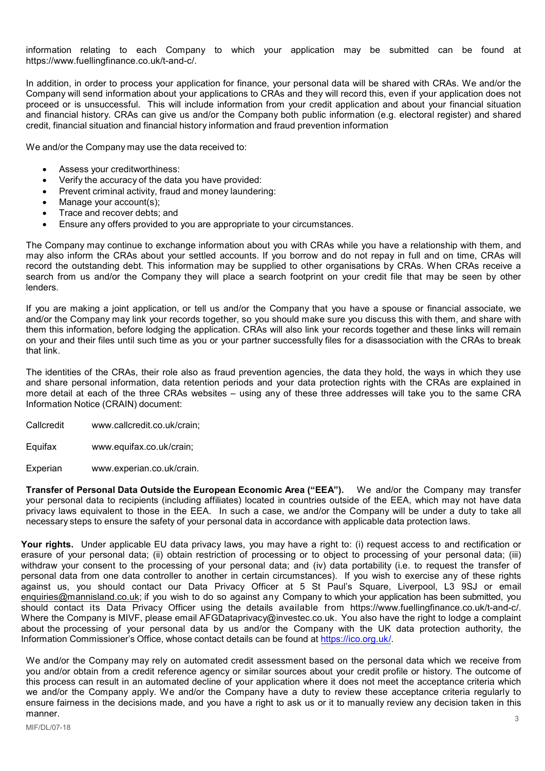information relating to each Company to which your application may be submitted can be found at https://www.fuellingfinance.co.uk/t-and-c/.

In addition, in order to process your application for finance, your personal data will be shared with CRAs. We and/or the Company will send information about your applications to CRAs and they will record this, even if your application does not proceed or is unsuccessful. This will include information from your credit application and about your financial situation and financial history. CRAs can give us and/or the Company both public information (e.g. electoral register) and shared credit, financial situation and financial history information and fraud prevention information

We and/or the Company may use the data received to:

- Assess your creditworthiness:
- Verify the accuracy of the data you have provided:
- Prevent criminal activity, fraud and money laundering:
- Manage your account(s);
- Trace and recover debts; and
- Ensure any offers provided to you are appropriate to your circumstances.

The Company may continue to exchange information about you with CRAs while you have a relationship with them, and may also inform the CRAs about your settled accounts. If you borrow and do not repay in full and on time, CRAs will record the outstanding debt. This information may be supplied to other organisations by CRAs. When CRAs receive a search from us and/or the Company they will place a search footprint on your credit file that may be seen by other lenders.

If you are making a joint application, or tell us and/or the Company that you have a spouse or financial associate, we and/or the Company may link your records together, so you should make sure you discuss this with them, and share with them this information, before lodging the application. CRAs will also link your records together and these links will remain on your and their files until such time as you or your partner successfully files for a disassociation with the CRAs to break that link.

The identities of the CRAs, their role also as fraud prevention agencies, the data they hold, the ways in which they use and share personal information, data retention periods and your data protection rights with the CRAs are explained in more detail at each of the three CRAs websites – using any of these three addresses will take you to the same CRA Information Notice (CRAIN) document:

Callcredit www.callcredit.co.uk/crain;

Equifax www.equifax.co.uk/crain;

Experian www.experian.co.uk/crain.

**Transfer of Personal Data Outside the European Economic Area ("EEA").** We and/or the Company may transfer your personal data to recipients (including affiliates) located in countries outside of the EEA, which may not have data privacy laws equivalent to those in the EEA. In such a case, we and/or the Company will be under a duty to take all necessary steps to ensure the safety of your personal data in accordance with applicable data protection laws.

**Your rights.** Under applicable EU data privacy laws, you may have a right to: (i) request access to and rectification or erasure of your personal data; (ii) obtain restriction of processing or to object to processing of your personal data; (iii) withdraw your consent to the processing of your personal data; and (iv) data portability (i.e. to request the transfer of personal data from one data controller to another in certain circumstances). If you wish to exercise any of these rights against us, you should contact our Data Privacy Officer at 5 St Paul's Square, Liverpool, L3 9SJ or email enquiries@mannisland.co.uk; if you wish to do so against any Company to which your application has been submitted, you should contact its Data Privacy Officer using the details available from https://www.fuellingfinance.co.uk/t-and-c/. Where the Company is MIVF, please email AFGDataprivacy@investec.co.uk. You also have the right to lodge a complaint about the processing of your personal data by us and/or the Company with the UK data protection authority, the Information Commissioner's Office, whose contact details can be found at https://ico.org.uk/.

3 We and/or the Company may rely on automated credit assessment based on the personal data which we receive from you and/or obtain from a credit reference agency or similar sources about your credit profile or history. The outcome of this process can result in an automated decline of your application where it does not meet the acceptance criteria which we and/or the Company apply. We and/or the Company have a duty to review these acceptance criteria regularly to ensure fairness in the decisions made, and you have a right to ask us or it to manually review any decision taken in this manner.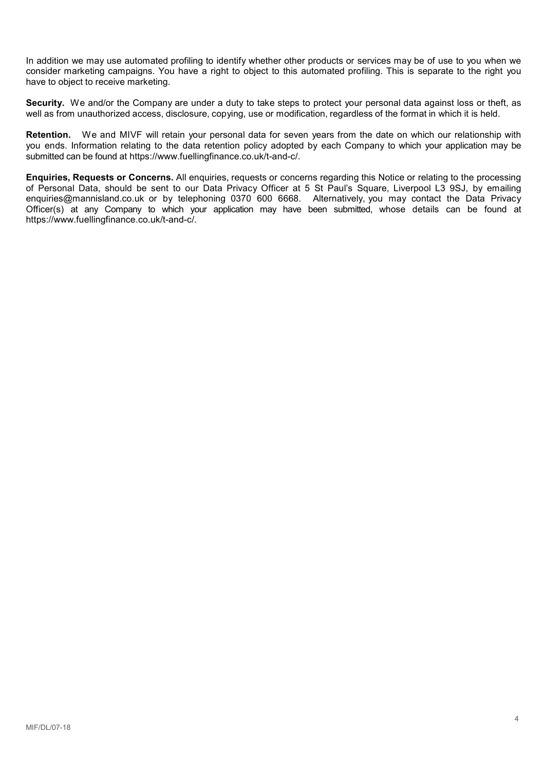In addition we may use automated profiling to identify whether other products or services may be of use to you when we consider marketing campaigns. You have a right to object to this automated profiling. This is separate to the right you have to object to receive marketing.

**Security.** We and/or the Company are under a duty to take steps to protect your personal data against loss or theft, as well as from unauthorized access, disclosure, copying, use or modification, regardless of the format in which it is held.

**Retention.** We and MIVF will retain your personal data for seven years from the date on which our relationship with you ends. Information relating to the data retention policy adopted by each Company to which your application may be submitted can be found at https://www.fuellingfinance.co.uk/t-and-c/.

**Enquiries, Requests or Concerns.** All enquiries, requests or concerns regarding this Notice or relating to the processing of Personal Data, should be sent to our Data Privacy Officer at 5 St Paul's Square, Liverpool L3 9SJ, by emailing enquiries@mannisland.co.uk or by telephoning 0370 600 6668. Alternatively, you may contact the Data Privacy Officer(s) at any Company to which your application may have been submitted, whose details can be found at https://www.fuellingfinance.co.uk/t-and-c/.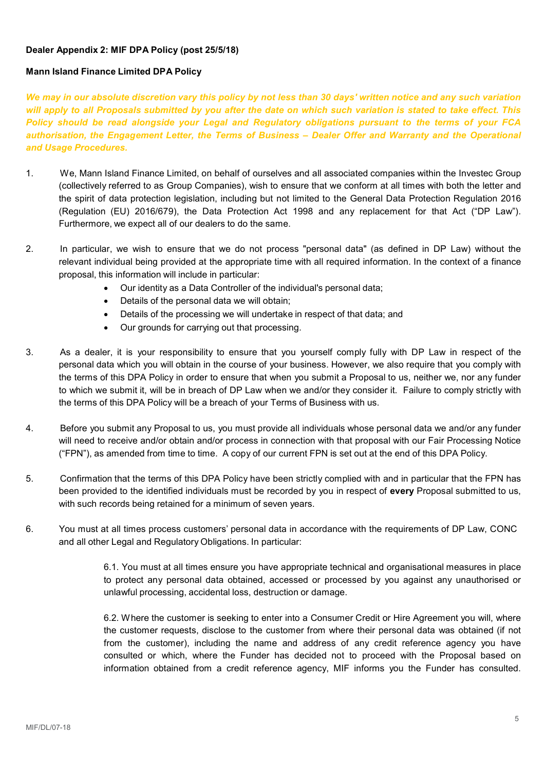# **Dealer Appendix 2: MIF DPA Policy (post 25/5/18)**

# **Mann Island Finance Limited DPA Policy**

*We may in our absolute discretion vary this policy by not less than 30 days' written notice and any such variation will apply to all Proposals submitted by you after the date on which such variation is stated to take effect. This Policy should be read alongside your Legal and Regulatory obligations pursuant to the terms of your FCA authorisation, the Engagement Letter, the Terms of Business – Dealer Offer and Warranty and the Operational and Usage Procedures.*

- 1. We, Mann Island Finance Limited, on behalf of ourselves and all associated companies within the Investec Group (collectively referred to as Group Companies), wish to ensure that we conform at all times with both the letter and the spirit of data protection legislation, including but not limited to the General Data Protection Regulation 2016 (Regulation (EU) 2016/679), the Data Protection Act 1998 and any replacement for that Act ("DP Law"). Furthermore, we expect all of our dealers to do the same.
- 2. In particular, we wish to ensure that we do not process "personal data" (as defined in DP Law) without the relevant individual being provided at the appropriate time with all required information. In the context of a finance proposal, this information will include in particular:
	- Our identity as a Data Controller of the individual's personal data;
	- Details of the personal data we will obtain;
	- Details of the processing we will undertake in respect of that data; and
	- Our grounds for carrying out that processing.
- 3. As a dealer, it is your responsibility to ensure that you yourself comply fully with DP Law in respect of the personal data which you will obtain in the course of your business. However, we also require that you comply with the terms of this DPA Policy in order to ensure that when you submit a Proposal to us, neither we, nor any funder to which we submit it, will be in breach of DP Law when we and/or they consider it. Failure to comply strictly with the terms of this DPA Policy will be a breach of your Terms of Business with us.
- 4. Before you submit any Proposal to us, you must provide all individuals whose personal data we and/or any funder will need to receive and/or obtain and/or process in connection with that proposal with our Fair Processing Notice ("FPN"), as amended from time to time. A copy of our current FPN is set out at the end of this DPA Policy.
- 5. Confirmation that the terms of this DPA Policy have been strictly complied with and in particular that the FPN has been provided to the identified individuals must be recorded by you in respect of **every** Proposal submitted to us, with such records being retained for a minimum of seven years.
- 6. You must at all times process customers' personal data in accordance with the requirements of DP Law, CONC and all other Legal and Regulatory Obligations. In particular:

6.1. You must at all times ensure you have appropriate technical and organisational measures in place to protect any personal data obtained, accessed or processed by you against any unauthorised or unlawful processing, accidental loss, destruction or damage.

6.2. Where the customer is seeking to enter into a Consumer Credit or Hire Agreement you will, where the customer requests, disclose to the customer from where their personal data was obtained (if not from the customer), including the name and address of any credit reference agency you have consulted or which, where the Funder has decided not to proceed with the Proposal based on information obtained from a credit reference agency, MIF informs you the Funder has consulted.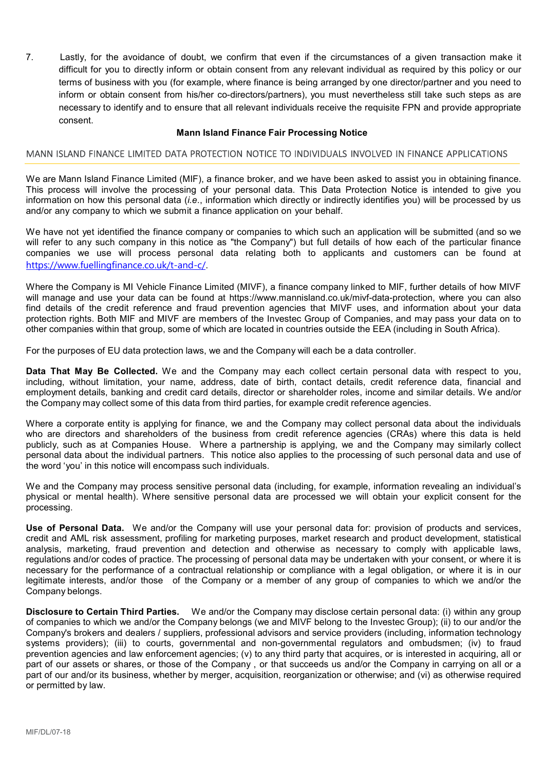7. Lastly, for the avoidance of doubt, we confirm that even if the circumstances of a given transaction make it difficult for you to directly inform or obtain consent from any relevant individual as required by this policy or our terms of business with you (for example, where finance is being arranged by one director/partner and you need to inform or obtain consent from his/her co-directors/partners), you must nevertheless still take such steps as are necessary to identify and to ensure that all relevant individuals receive the requisite FPN and provide appropriate consent.

## **Mann Island Finance Fair Processing Notice**

# MANN ISLAND FINANCE LIMITED DATA PROTECTION NOTICE TO INDIVIDUALS INVOLVED IN FINANCE APPLICATIONS

We are Mann Island Finance Limited (MIF), a finance broker, and we have been asked to assist you in obtaining finance. This process will involve the processing of your personal data. This Data Protection Notice is intended to give you information on how this personal data (*i.e*., information which directly or indirectly identifies you) will be processed by us and/or any company to which we submit a finance application on your behalf.

We have not yet identified the finance company or companies to which such an application will be submitted (and so we will refer to any such company in this notice as "the Company") but full details of how each of the particular finance companies we use will process personal data relating both to applicants and customers can be found at https://www.fuellingfinance.co.uk/t-and-c/.

Where the Company is MI Vehicle Finance Limited (MIVF), a finance company linked to MIF, further details of how MIVF will manage and use your data can be found at https://www.mannisland.co.uk/mivf-data-protection, where you can also find details of the credit reference and fraud prevention agencies that MIVF uses, and information about your data protection rights. Both MIF and MIVF are members of the Investec Group of Companies, and may pass your data on to other companies within that group, some of which are located in countries outside the EEA (including in South Africa).

For the purposes of EU data protection laws, we and the Company will each be a data controller.

**Data That May Be Collected.** We and the Company may each collect certain personal data with respect to you, including, without limitation, your name, address, date of birth, contact details, credit reference data, financial and employment details, banking and credit card details, director or shareholder roles, income and similar details. We and/or the Company may collect some of this data from third parties, for example credit reference agencies.

Where a corporate entity is applying for finance, we and the Company may collect personal data about the individuals who are directors and shareholders of the business from credit reference agencies (CRAs) where this data is held publicly, such as at Companies House. Where a partnership is applying, we and the Company may similarly collect personal data about the individual partners. This notice also applies to the processing of such personal data and use of the word 'you' in this notice will encompass such individuals.

We and the Company may process sensitive personal data (including, for example, information revealing an individual's physical or mental health). Where sensitive personal data are processed we will obtain your explicit consent for the processing.

**Use of Personal Data.** We and/or the Company will use your personal data for: provision of products and services, credit and AML risk assessment, profiling for marketing purposes, market research and product development, statistical analysis, marketing, fraud prevention and detection and otherwise as necessary to comply with applicable laws, regulations and/or codes of practice. The processing of personal data may be undertaken with your consent, or where it is necessary for the performance of a contractual relationship or compliance with a legal obligation, or where it is in our legitimate interests, and/or those of the Company or a member of any group of companies to which we and/or the Company belongs.

**Disclosure to Certain Third Parties.** We and/or the Company may disclose certain personal data: (i) within any group of companies to which we and/or the Company belongs (we and MIVF belong to the Investec Group); (ii) to our and/or the Company's brokers and dealers / suppliers, professional advisors and service providers (including, information technology systems providers); (iii) to courts, governmental and non-governmental regulators and ombudsmen; (iv) to fraud prevention agencies and law enforcement agencies; (v) to any third party that acquires, or is interested in acquiring, all or part of our assets or shares, or those of the Company , or that succeeds us and/or the Company in carrying on all or a part of our and/or its business, whether by merger, acquisition, reorganization or otherwise; and (vi) as otherwise required or permitted by law.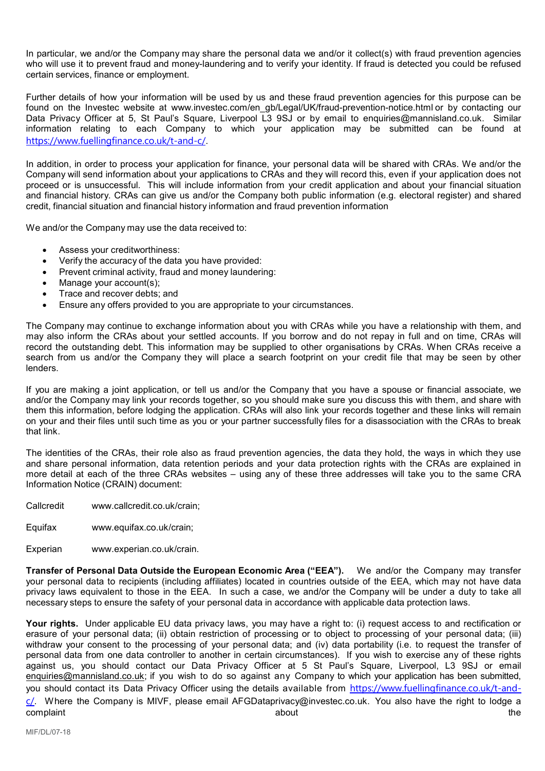In particular, we and/or the Company may share the personal data we and/or it collect(s) with fraud prevention agencies who will use it to prevent fraud and money-laundering and to verify your identity. If fraud is detected you could be refused certain services, finance or employment.

Further details of how your information will be used by us and these fraud prevention agencies for this purpose can be found on the Investec website at www.investec.com/en\_gb/Legal/UK/fraud-prevention-notice.html or by contacting our Data Privacy Officer at 5, St Paul's Square, Liverpool L3 9SJ or by email to enquiries@mannisland.co.uk. Similar information relating to each Company to which your application may be submitted can be found at https://www.fuellingfinance.co.uk/t-and-c/.

In addition, in order to process your application for finance, your personal data will be shared with CRAs. We and/or the Company will send information about your applications to CRAs and they will record this, even if your application does not proceed or is unsuccessful. This will include information from your credit application and about your financial situation and financial history. CRAs can give us and/or the Company both public information (e.g. electoral register) and shared credit, financial situation and financial history information and fraud prevention information

We and/or the Company may use the data received to:

- Assess your creditworthiness:
- Verify the accuracy of the data you have provided:
- Prevent criminal activity, fraud and money laundering:
- Manage your account(s);
- Trace and recover debts; and
- Ensure any offers provided to you are appropriate to your circumstances.

The Company may continue to exchange information about you with CRAs while you have a relationship with them, and may also inform the CRAs about your settled accounts. If you borrow and do not repay in full and on time, CRAs will record the outstanding debt. This information may be supplied to other organisations by CRAs. When CRAs receive a search from us and/or the Company they will place a search footprint on your credit file that may be seen by other lenders.

If you are making a joint application, or tell us and/or the Company that you have a spouse or financial associate, we and/or the Company may link your records together, so you should make sure you discuss this with them, and share with them this information, before lodging the application. CRAs will also link your records together and these links will remain on your and their files until such time as you or your partner successfully files for a disassociation with the CRAs to break that link.

The identities of the CRAs, their role also as fraud prevention agencies, the data they hold, the ways in which they use and share personal information, data retention periods and your data protection rights with the CRAs are explained in more detail at each of the three CRAs websites – using any of these three addresses will take you to the same CRA Information Notice (CRAIN) document:

Callcredit www.callcredit.co.uk/crain;

Equifax www.equifax.co.uk/crain;

Experian www.experian.co.uk/crain.

**Transfer of Personal Data Outside the European Economic Area ("EEA").** We and/or the Company may transfer your personal data to recipients (including affiliates) located in countries outside of the EEA, which may not have data privacy laws equivalent to those in the EEA. In such a case, we and/or the Company will be under a duty to take all necessary steps to ensure the safety of your personal data in accordance with applicable data protection laws.

**Your rights.** Under applicable EU data privacy laws, you may have a right to: (i) request access to and rectification or erasure of your personal data; (ii) obtain restriction of processing or to object to processing of your personal data; (iii) withdraw your consent to the processing of your personal data; and (iv) data portability (i.e. to request the transfer of personal data from one data controller to another in certain circumstances). If you wish to exercise any of these rights against us, you should contact our Data Privacy Officer at 5 St Paul's Square, Liverpool, L3 9SJ or email enquiries@mannisland.co.uk; if you wish to do so against any Company to which your application has been submitted, you should contact its Data Privacy Officer using the details available from https://www.fuellingfinance.co.uk/t-and $c$ . Where the Company is MIVF, please email AFGDataprivacy@investec.co.uk. You also have the right to lodge a complaint the complaint the complaint the complaint the complaint  $\sim$